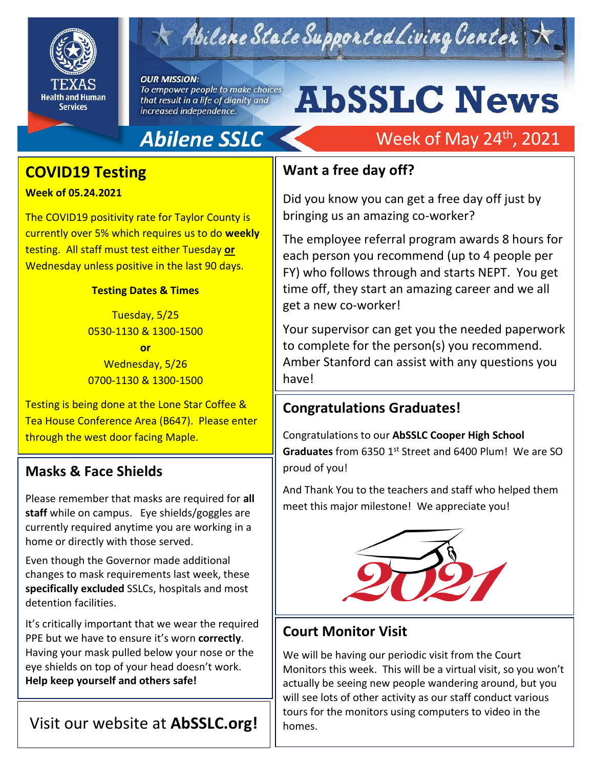

# Abilene State Supported Living Center

#### **OUR MISSION:**

To empower people to make choices that result in a life of dignity and increased independence.

# **AbSSLC News**

Week of May 24<sup>th</sup>, 2021

## **Abilene SSLC**

### **COVID19 Testing**

**Week of 05.24.2021**

The COVID19 positivity rate for Taylor County is currently over 5% which requires us to do **weekly** testing. All staff must test either Tuesday **or** Wednesday unless positive in the last 90 days.

#### **Testing Dates & Times**

Tuesday, 5/25 0530-1130 & 1300-1500

**or** Wednesday, 5/26 0700-1130 & 1300-1500

Testing is being done at the Lone Star Coffee & Tea House Conference Area (B647). Please enter through the west door facing Maple.

#### **Masks & Face Shields**

Please remember that masks are required for **all staff** while on campus. Eye shields/goggles are currently required anytime you are working in a home or directly with those served.

Even though the Governor made additional changes to mask requirements last week, these **specifically excluded** SSLCs, hospitals and most detention facilities.

It's critically important that we wear the required PPE but we have to ensure it's worn **correctly**. Having your mask pulled below your nose or the eye shields on top of your head doesn't work. **Help keep yourself and others safe!**

#### Visit our website at **AbSSLC.org!**

#### **Want a free day off?**

Did you know you can get a free day off just by bringing us an amazing co-worker?

The employee referral program awards 8 hours for each person you recommend (up to 4 people per FY) who follows through and starts NEPT. You get time off, they start an amazing career and we all get a new co-worker!

2019 Your supervisor can get you the needed paperwork to complete for the person(s) you recommend. Amber Stanford can assist with any questions you have!

#### **Congratulations Graduates!**

Congratulations to our **AbSSLC Cooper High School**  Graduates from 6350 1<sup>st</sup> Street and 6400 Plum! We are SO proud of you!

And Thank You to the teachers and staff who helped them meet this major milestone! We appreciate you!



#### **Court Monitor Visit**

We will be having our periodic visit from the Court Monitors this week. This will be a virtual visit, so you won't actually be seeing new people wandering around, but you will see lots of other activity as our staff conduct various tours for the monitors using computers to video in the homes.